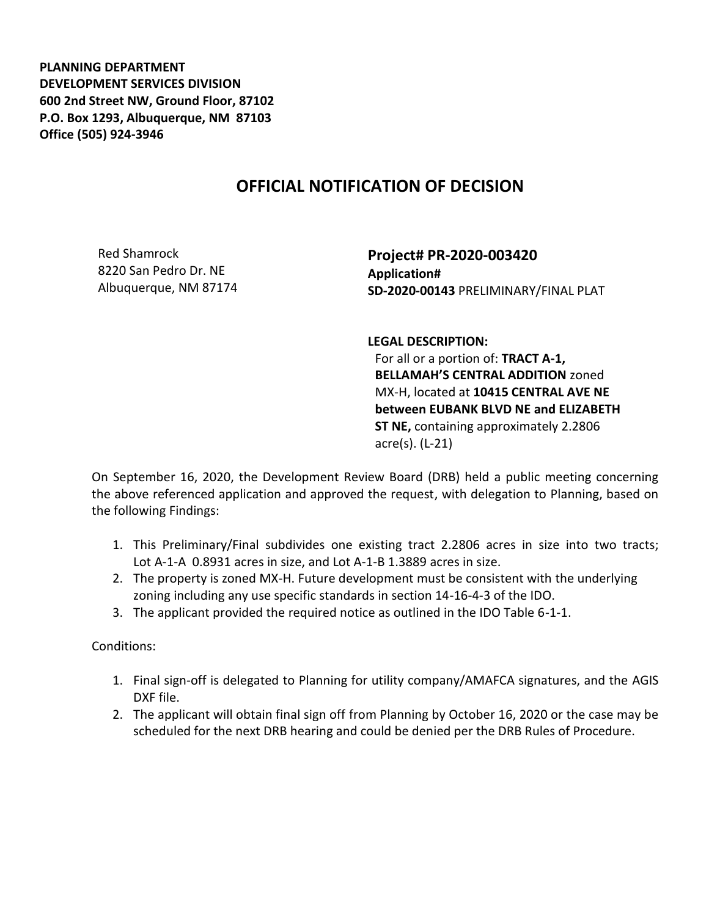**PLANNING DEPARTMENT DEVELOPMENT SERVICES DIVISION 600 2nd Street NW, Ground Floor, 87102 P.O. Box 1293, Albuquerque, NM 87103 Office (505) 924-3946** 

## **OFFICIAL NOTIFICATION OF DECISION**

Red Shamrock 8220 San Pedro Dr. NE Albuquerque, NM 87174

**Project# PR-2020-003420 Application# SD-2020-00143** PRELIMINARY/FINAL PLAT

**LEGAL DESCRIPTION:**

For all or a portion of: **TRACT A-1, BELLAMAH'S CENTRAL ADDITION** zoned MX-H, located at **10415 CENTRAL AVE NE between EUBANK BLVD NE and ELIZABETH ST NE,** containing approximately 2.2806 acre(s). (L-21)

On September 16, 2020, the Development Review Board (DRB) held a public meeting concerning the above referenced application and approved the request, with delegation to Planning, based on the following Findings:

- 1. This Preliminary/Final subdivides one existing tract 2.2806 acres in size into two tracts; Lot A-1-A 0.8931 acres in size, and Lot A-1-B 1.3889 acres in size.
- 2. The property is zoned MX-H. Future development must be consistent with the underlying zoning including any use specific standards in section 14-16-4-3 of the IDO.
- 3. The applicant provided the required notice as outlined in the IDO Table 6-1-1.

Conditions:

- 1. Final sign-off is delegated to Planning for utility company/AMAFCA signatures, and the AGIS DXF file.
- 2. The applicant will obtain final sign off from Planning by October 16, 2020 or the case may be scheduled for the next DRB hearing and could be denied per the DRB Rules of Procedure.